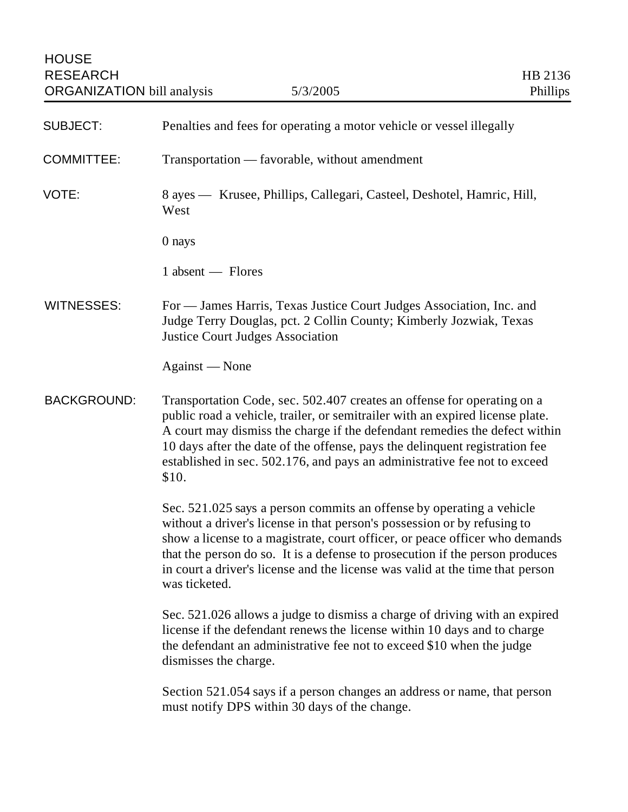| <b>SUBJECT:</b>    | Penalties and fees for operating a motor vehicle or vessel illegally                                                                                                                                                                                                                                                                                                                                              |
|--------------------|-------------------------------------------------------------------------------------------------------------------------------------------------------------------------------------------------------------------------------------------------------------------------------------------------------------------------------------------------------------------------------------------------------------------|
| <b>COMMITTEE:</b>  | Transportation — favorable, without amendment                                                                                                                                                                                                                                                                                                                                                                     |
| VOTE:              | 8 ayes — Krusee, Phillips, Callegari, Casteel, Deshotel, Hamric, Hill,<br>West                                                                                                                                                                                                                                                                                                                                    |
|                    | 0 nays                                                                                                                                                                                                                                                                                                                                                                                                            |
|                    | 1 absent — Flores                                                                                                                                                                                                                                                                                                                                                                                                 |
| <b>WITNESSES:</b>  | For — James Harris, Texas Justice Court Judges Association, Inc. and<br>Judge Terry Douglas, pct. 2 Collin County; Kimberly Jozwiak, Texas<br><b>Justice Court Judges Association</b>                                                                                                                                                                                                                             |
|                    | Against — None                                                                                                                                                                                                                                                                                                                                                                                                    |
| <b>BACKGROUND:</b> | Transportation Code, sec. 502.407 creates an offense for operating on a<br>public road a vehicle, trailer, or semitrailer with an expired license plate.<br>A court may dismiss the charge if the defendant remedies the defect within<br>10 days after the date of the offense, pays the delinquent registration fee<br>established in sec. 502.176, and pays an administrative fee not to exceed<br>\$10.       |
|                    | Sec. 521.025 says a person commits an offense by operating a vehicle<br>without a driver's license in that person's possession or by refusing to<br>show a license to a magistrate, court officer, or peace officer who demands<br>that the person do so. It is a defense to prosecution if the person produces<br>in court a driver's license and the license was valid at the time that person<br>was ticketed. |
|                    | Sec. 521.026 allows a judge to dismiss a charge of driving with an expired<br>license if the defendant renews the license within 10 days and to charge<br>the defendant an administrative fee not to exceed \$10 when the judge<br>dismisses the charge.                                                                                                                                                          |
|                    | Section 521.054 says if a person changes an address or name, that person<br>must notify DPS within 30 days of the change.                                                                                                                                                                                                                                                                                         |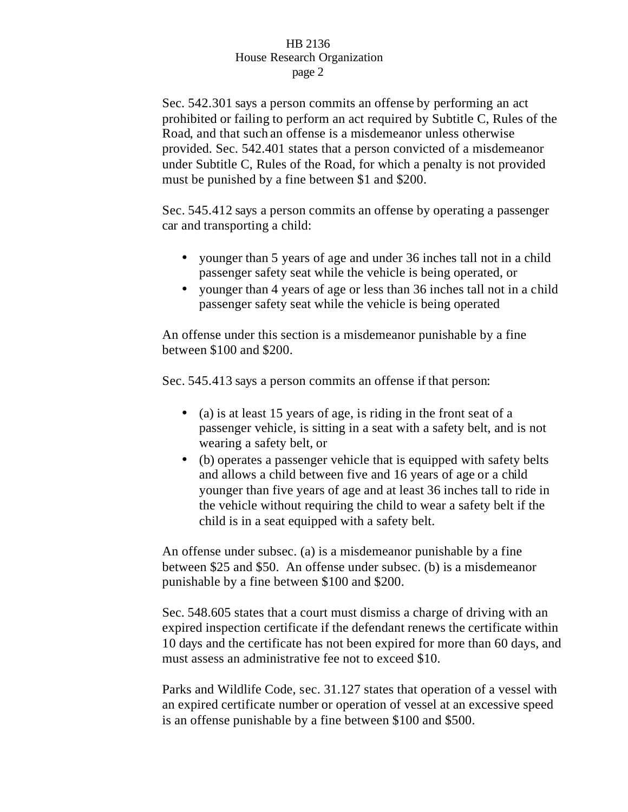## HB 2136 House Research Organization page 2

Sec. 542.301 says a person commits an offense by performing an act prohibited or failing to perform an act required by Subtitle C, Rules of the Road, and that such an offense is a misdemeanor unless otherwise provided. Sec. 542.401 states that a person convicted of a misdemeanor under Subtitle C, Rules of the Road, for which a penalty is not provided must be punished by a fine between \$1 and \$200.

Sec. 545.412 says a person commits an offense by operating a passenger car and transporting a child:

- younger than 5 years of age and under 36 inches tall not in a child passenger safety seat while the vehicle is being operated, or
- younger than 4 years of age or less than 36 inches tall not in a child passenger safety seat while the vehicle is being operated

An offense under this section is a misdemeanor punishable by a fine between \$100 and \$200.

Sec. 545.413 says a person commits an offense if that person:

- (a) is at least 15 years of age, is riding in the front seat of a passenger vehicle, is sitting in a seat with a safety belt, and is not wearing a safety belt, or
- (b) operates a passenger vehicle that is equipped with safety belts and allows a child between five and 16 years of age or a child younger than five years of age and at least 36 inches tall to ride in the vehicle without requiring the child to wear a safety belt if the child is in a seat equipped with a safety belt.

An offense under subsec. (a) is a misdemeanor punishable by a fine between \$25 and \$50. An offense under subsec. (b) is a misdemeanor punishable by a fine between \$100 and \$200.

Sec. 548.605 states that a court must dismiss a charge of driving with an expired inspection certificate if the defendant renews the certificate within 10 days and the certificate has not been expired for more than 60 days, and must assess an administrative fee not to exceed \$10.

Parks and Wildlife Code, sec. 31.127 states that operation of a vessel with an expired certificate number or operation of vessel at an excessive speed is an offense punishable by a fine between \$100 and \$500.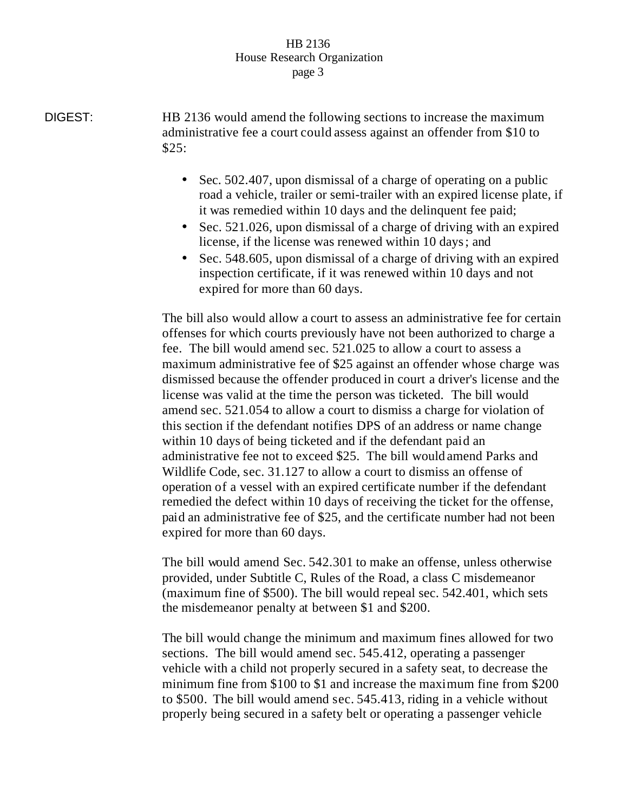## HB 2136 House Research Organization page 3

DIGEST: HB 2136 would amend the following sections to increase the maximum administrative fee a court could assess against an offender from \$10 to \$25:

- Sec. 502.407, upon dismissal of a charge of operating on a public road a vehicle, trailer or semi-trailer with an expired license plate, if it was remedied within 10 days and the delinquent fee paid;
- Sec. 521.026, upon dismissal of a charge of driving with an expired license, if the license was renewed within 10 days; and
- Sec. 548.605, upon dismissal of a charge of driving with an expired inspection certificate, if it was renewed within 10 days and not expired for more than 60 days.

The bill also would allow a court to assess an administrative fee for certain offenses for which courts previously have not been authorized to charge a fee. The bill would amend sec. 521.025 to allow a court to assess a maximum administrative fee of \$25 against an offender whose charge was dismissed because the offender produced in court a driver's license and the license was valid at the time the person was ticketed. The bill would amend sec. 521.054 to allow a court to dismiss a charge for violation of this section if the defendant notifies DPS of an address or name change within 10 days of being ticketed and if the defendant paid an administrative fee not to exceed \$25. The bill would amend Parks and Wildlife Code, sec. 31.127 to allow a court to dismiss an offense of operation of a vessel with an expired certificate number if the defendant remedied the defect within 10 days of receiving the ticket for the offense, paid an administrative fee of \$25, and the certificate number had not been expired for more than 60 days.

The bill would amend Sec. 542.301 to make an offense, unless otherwise provided, under Subtitle C, Rules of the Road, a class C misdemeanor (maximum fine of \$500). The bill would repeal sec. 542.401, which sets the misdemeanor penalty at between \$1 and \$200.

The bill would change the minimum and maximum fines allowed for two sections. The bill would amend sec. 545.412, operating a passenger vehicle with a child not properly secured in a safety seat, to decrease the minimum fine from \$100 to \$1 and increase the maximum fine from \$200 to \$500. The bill would amend sec. 545.413, riding in a vehicle without properly being secured in a safety belt or operating a passenger vehicle